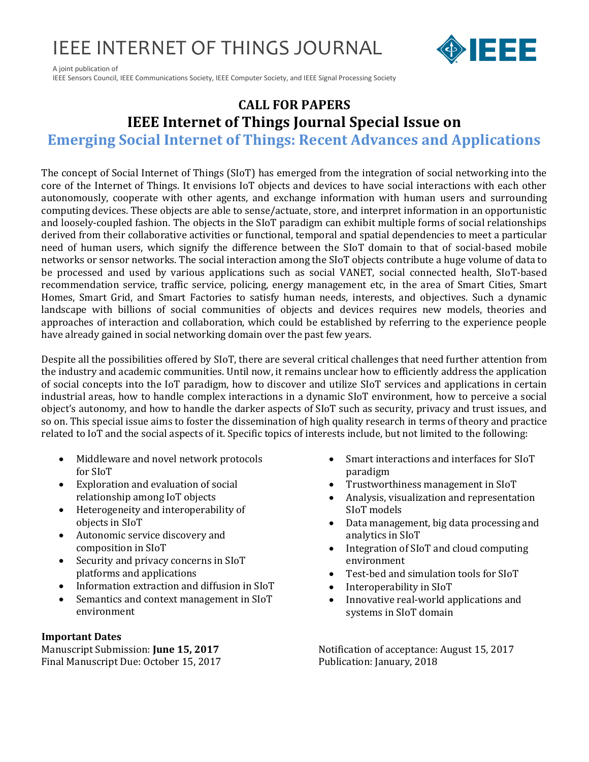## IEEE INTERNET OF THINGS JOURNAL



A joint publication of IEEE Sensors Council, IEEE Communications Society, IEEE Computer Society, and IEEE Signal Processing Society

### **CALL FOR PAPERS IEEE Internet of Things Journal Special Issue on**

**Emerging Social Internet of Things: Recent Advances and Applications**

The concept of Social Internet of Things (SIoT) has emerged from the integration of social networking into the core of the Internet of Things. It envisions IoT objects and devices to have social interactions with each other autonomously, cooperate with other agents, and exchange information with human users and surrounding computing devices. These objects are able to sense/actuate, store, and interpret information in an opportunistic and loosely-coupled fashion. The objects in the SIoT paradigm can exhibit multiple forms of social relationships derived from their collaborative activities or functional, temporal and spatial dependencies to meet a particular need of human users, which signify the difference between the SIoT domain to that of social-based mobile networks or sensor networks. The social interaction among the SIoT objects contribute a huge volume of data to be processed and used by various applications such as social VANET, social connected health, SIoT-based recommendation service, traffic service, policing, energy management etc, in the area of Smart Cities, Smart Homes, Smart Grid, and Smart Factories to satisfy human needs, interests, and objectives. Such a dynamic landscape with billions of social communities of objects and devices requires new models, theories and approaches of interaction and collaboration, which could be established by referring to the experience people have already gained in social networking domain over the past few years.

Despite all the possibilities offered by SIoT, there are several critical challenges that need further attention from the industry and academic communities. Until now, it remains unclear how to efficiently address the application of social concepts into the IoT paradigm, how to discover and utilize SIoT services and applications in certain industrial areas, how to handle complex interactions in a dynamic SIoT environment, how to perceive a social object's autonomy, and how to handle the darker aspects of SIoT such as security, privacy and trust issues, and so on. This special issue aims to foster the dissemination of high quality research in terms of theory and practice related to IoT and the social aspects of it. Specific topics of interests include, but not limited to the following:

- Middleware and novel network protocols for SIoT
- Exploration and evaluation of social relationship among IoT objects
- Heterogeneity and interoperability of objects in SIoT
- Autonomic service discovery and composition in SIoT
- Security and privacy concerns in SIoT platforms and applications
- Information extraction and diffusion in SIoT
- Semantics and context management in SIoT environment

### **Important Dates**

Final Manuscript Due: October 15, 2017 Publication: January, 2018

- Smart interactions and interfaces for SIoT paradigm
- Trustworthiness management in SIoT
- Analysis, visualization and representation SIoT models
- Data management, big data processing and analytics in SIoT
- Integration of SIoT and cloud computing environment
- Test-bed and simulation tools for SIoT
- Interoperability in SIoT
- Innovative real-world applications and systems in SIoT domain

Manuscript Submission: **June 15, 2017** Notification of acceptance: August 15, 2017